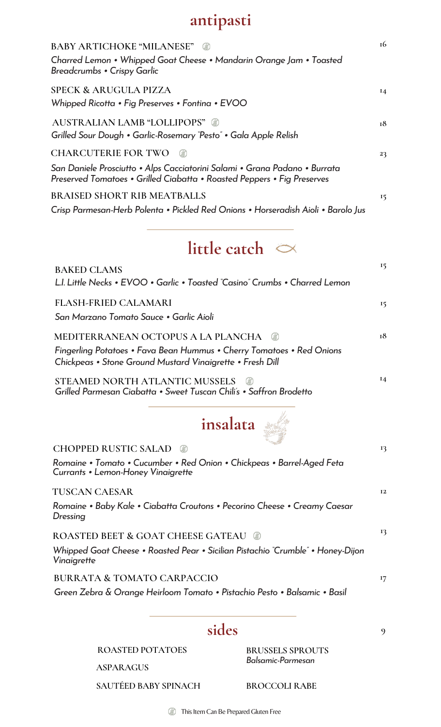## **antipasti**

| <b>BABY ARTICHOKE "MILANESE"</b><br>Charred Lemon • Whipped Goat Cheese • Mandarin Orange Jam • Toasted<br>Breadcrumbs • Crispy Garlic                                              | 16    |
|-------------------------------------------------------------------------------------------------------------------------------------------------------------------------------------|-------|
| <b>SPECK &amp; ARUGULA PIZZA</b><br>Whipped Ricotta • Fig Preserves • Fontina • EVOO                                                                                                | $I_4$ |
| <b>AUSTRALIAN LAMB "LOLLIPOPS"</b><br>Grilled Sour Dough • Garlic-Rosemary "Pesto" • Gala Apple Relish                                                                              | 18    |
| <b>CHARCUTERIE FOR TWO</b><br>San Daniele Prosciutto • Alps Cacciatorini Salami • Grana Padano • Burrata<br>Preserved Tomatoes • Grilled Ciabatta • Roasted Peppers • Fig Preserves | 23    |
| <b>BRAISED SHORT RIB MEATBALLS</b><br>Crisp Parmesan-Herb Polenta • Pickled Red Onions • Horseradish Aioli • Barolo Jus                                                             | 15    |
| little catch $\sim$                                                                                                                                                                 |       |
| <b>BAKED CLAMS</b><br>L.I. Little Necks • EVOO • Garlic • Toasted "Casino" Crumbs • Charred Lemon                                                                                   | 15    |
| <b>FLASH-FRIED CALAMARI</b><br>San Marzano Tomato Sauce • Garlic Aioli                                                                                                              | 15    |
| MEDITERRANEAN OCTOPUS A LA PLANCHA<br>- (2)<br>Fingerling Potatoes • Fava Bean Hummus • Cherry Tomatoes • Red Onions<br>Chickpeas • Stone Ground Mustard Vinaigrette • Fresh Dill   | 18    |
| STEAMED NORTH ATLANTIC MUSSELS<br>Grilled Parmesan Ciabatta • Sweet Tuscan Chili's • Saffron Brodetto                                                                               | $I_4$ |
| insalata                                                                                                                                                                            |       |
| <b>CHOPPED RUSTIC SALAD</b>                                                                                                                                                         | 13    |

| Currants • Lemon-Honey Vinaigrette                                                             |           |
|------------------------------------------------------------------------------------------------|-----------|
| TUSCAN CAESAR                                                                                  | <b>I2</b> |
| Romaine • Baby Kale • Ciabatta Croutons • Pecorino Cheese • Creamy Caesar<br>Dressing          |           |
| <b>ROASTED BEET &amp; GOAT CHEESE GATEAU @</b>                                                 | 13        |
| Whipped Goat Cheese • Roasted Pear • Sicilian Pistachio "Crumble" • Honey-Dijon<br>Vinaigrette |           |
| <b>BURRATA &amp; TOMATO CARPACCIO</b>                                                          | 17        |
| Green Zebra & Orange Heirloom Tomato • Pistachio Pesto • Balsamic • Basil                      |           |

*Romaine • Tomato • Cucumber • Red Onion • Chickpeas • Barrel-Aged Feta*

## **sides**

**ROASTED POTATOES BRUSSELS SPROUTS**

*Balsamic-Parmesan*

**9**

**ASPARAGUS**

**SAUTÉED BABY SPINACH BROCCOLI RABE**